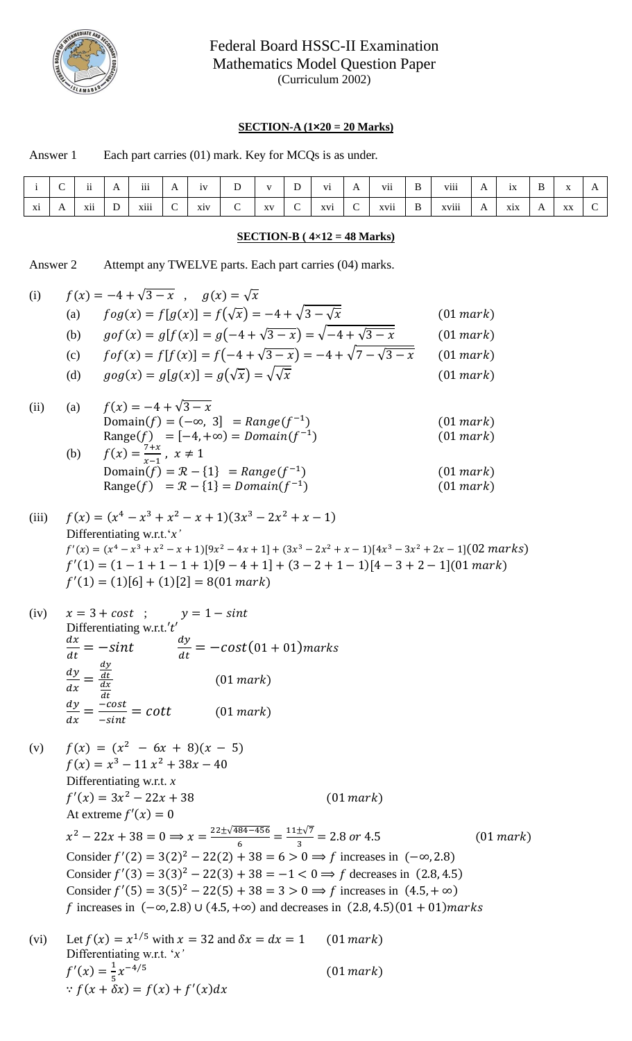

## Federal Board HSSC-II Examination Mathematics Model Question Paper (Curriculum 2002)

## **SECTION-A (1×20 = 20 Marks)**

|    | $\sim$<br>◡ | $\cdot \cdot$<br>11 | A            | $\cdots$<br>111 | $\mathbf{A}$            | 1V  | $\mathbf D$ | $\mathbf{V}$ | D<br>$\mathbf{v}$ | V1  | $\mathbf{A}$  | $\rm vii$ | B        | viii  | $\overline{1}$ | 1X  | $\, {\bf B}$ | $-$<br>$\Lambda$ | $\mathbf{A}$ |
|----|-------------|---------------------|--------------|-----------------|-------------------------|-----|-------------|--------------|-------------------|-----|---------------|-----------|----------|-------|----------------|-----|--------------|------------------|--------------|
| Xi | A           | xii                 | $\mathbf{D}$ | xiii            | $\curvearrowright$<br>◡ | xiv | ⌒<br>◡      | XV           | $\sim$<br>◡       | xvi | $\mathcal{C}$ | xvii      | $\bf{B}$ | xviii | $\overline{1}$ | xix | A            | XX               | $\sim$<br>◡  |
|    |             |                     |              |                 |                         |     |             |              |                   |     |               |           |          |       |                |     |              |                  |              |

## **SECTION-B ( 4×12 = 48 Marks)**

Answer 2 Attempt any TWELVE parts. Each part carries (04) marks.

Answer 1 Each part carries (01) mark. Key for MCQs is as under.

(i) 
$$
f(x) = -4 + \sqrt{3 - x}
$$
,  $g(x) = \sqrt{x}$   
\n(a)  $f \circ g(x) = f[g(x)] = f(\sqrt{x}) = -4 + \sqrt{3 - x}$   
\n(b)  $g \circ f(x) = g[f(x)] = g(-4 + \sqrt{3 - x}) = \sqrt{-4 + \sqrt{3 - x}}$   
\n(c)  $f \circ f(x) = f[f(x)] = g(-4 + \sqrt{3 - x}) = -4 + \sqrt{7 - \sqrt{3 - x}}$   
\n(d)  $g \circ g(x) = g[g(x)] = g(\sqrt{x}) = \sqrt{\sqrt{x}}$   
\n(e)  $f \circ f(x) = -4 + \sqrt{3 - x}$   
\nDomain  $f f = (\cos x) = 1$   
\n $f(x) = -4 + \sqrt{3 - x}$   
\nDomain  $f f = (\cos x) = 1$   
\n $f(x) = -4 + \sqrt{3 - x}$   
\nDomain  $f = (\cos x) = 1$   
\n $f(x) = \frac{7}{x-1}$ ,  $x \ne 1$   
\n $f(x) = \frac{7}{x-1}$ ,  $x \ne 1$   
\n $f(x) = \frac{7}{x-1}$ ,  $x \ne 1$   
\n $f(x) = \frac{7}{x-1}$ ,  $x \ne 1$   
\n $f(x) = \frac{7}{x-1}$ ,  $x \ne 1$   
\n $f(x) = \frac{7}{x-1}$ ,  $x \ne 1$   
\n $f(x) = \frac{7}{x-1}$ ,  $x \ne 1$   
\n $f(x) = \frac{7}{x-1}$ ,  $x \ne 1$   
\n $f(x) = \frac{7}{x-1}$ ,  $x \ne 1$   
\n $f(x) = \frac{7}{x-1}$ ,  $x \ne 1$   
\n $f(x) = \frac{7}{x-1}$ ,  $x \ne 1$   
\n $f(x) = \frac{7}{x-1}$ ,  $x \ne 1$   
\n $f(x) = \frac{7}{x-1}$ ,  $x \ne 1$   
\n $f(x) = \frac{7}{x-1}$ ,  $x \ne 1$   
\n $f(x) = \frac{7}{x-1}$ ,  $x$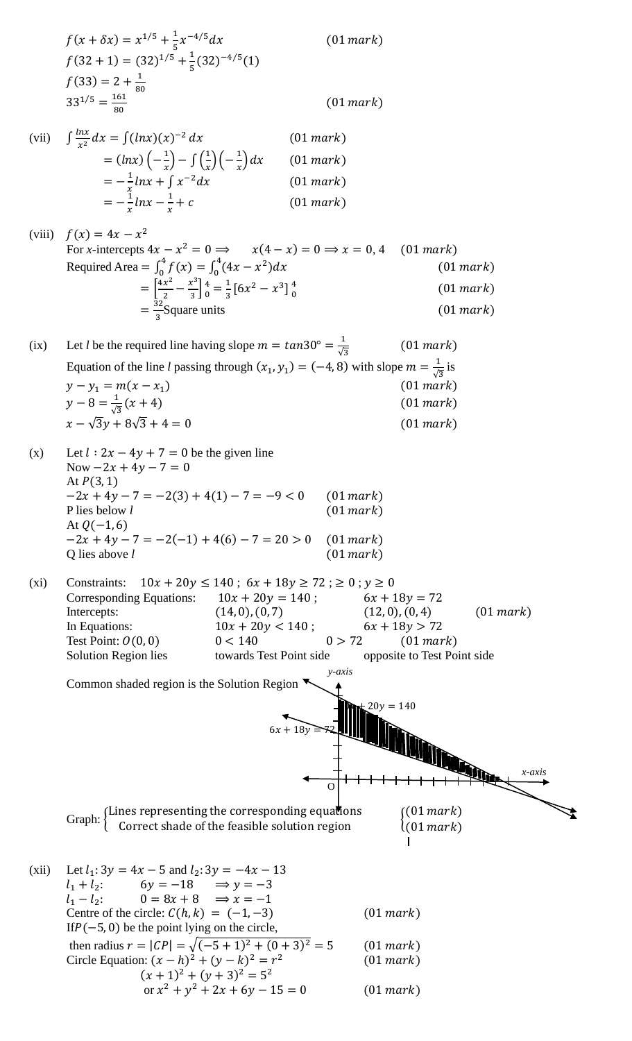$$
f(x + \delta x) = x^{1/5} + \frac{1}{5}x^{-4/5}dx
$$
\n
$$
f(32 + 1) = (32)^{1/5} + \frac{1}{5}(32)^{-4/5}(1)
$$
\n
$$
f(33) = 2 + \frac{1}{30}
$$
\n
$$
(33^{1/5} = \frac{163}{50}
$$
\n
$$
3^{1/5} = \frac{163}{50}
$$
\n
$$
3^{1/5} = \frac{163}{50}
$$
\n
$$
= (lnx)(-x^2) - f(\frac{1}{x})(-\frac{1}{x})dx
$$
\n
$$
(11 mark)
$$
\n
$$
= -\frac{3}{2}hx + \frac{1}{x}x^{-2}dx
$$
\n
$$
= -\frac{3}{x}hx + \frac{x^2}{x^2} = 0 \Rightarrow x(4-x) = 0 \Rightarrow x = 0, 4
$$
\n
$$
(01 mark)
$$
\n
$$
f(x) = 4x - x^2
$$
\nFor *x*-intercept 84x - x<sup>2</sup> = 0  $\Rightarrow x = 0, 4$ \n
$$
f(01 mark)
$$
\n
$$
= \frac{16x^2}{3} - \frac{1}{x^2} + \frac{1}{x} = 0 \Rightarrow x(4-x^2) = 0 \Rightarrow x = 0, 4
$$
\n
$$
(01 mark)
$$
\n
$$
= \frac{16x^2}{3} - \frac{1}{3}(\frac{1}{3}(\frac{4x}{3} - \frac{1}{3})dx)
$$
\n
$$
= \frac{16x^2}{3} - \frac{1}{3}(\frac{1}{3}(\frac{4x}{3} - \frac{1}{3})dx)
$$
\n
$$
= \frac{1}{3}(\frac{1}{3}x + \frac{1}{3})
$$
\n
$$
= \frac{1}{3}(\frac{1}{3}x + \frac{1}{3})
$$
\n
$$
= \frac{1}{3}(\frac{1}{3}x + \frac{1}{3}) = 0 \text{ be the given line}
$$
\n
$$
N = -\sqrt{3}y + 8\sqrt{3} + 4 = 0
$$
\n
$$
A = \sqrt{3}y + 8\sqrt{
$$

or  $x^2 + y^2 + 2x + 6y - 15 = 0$  (01 mark)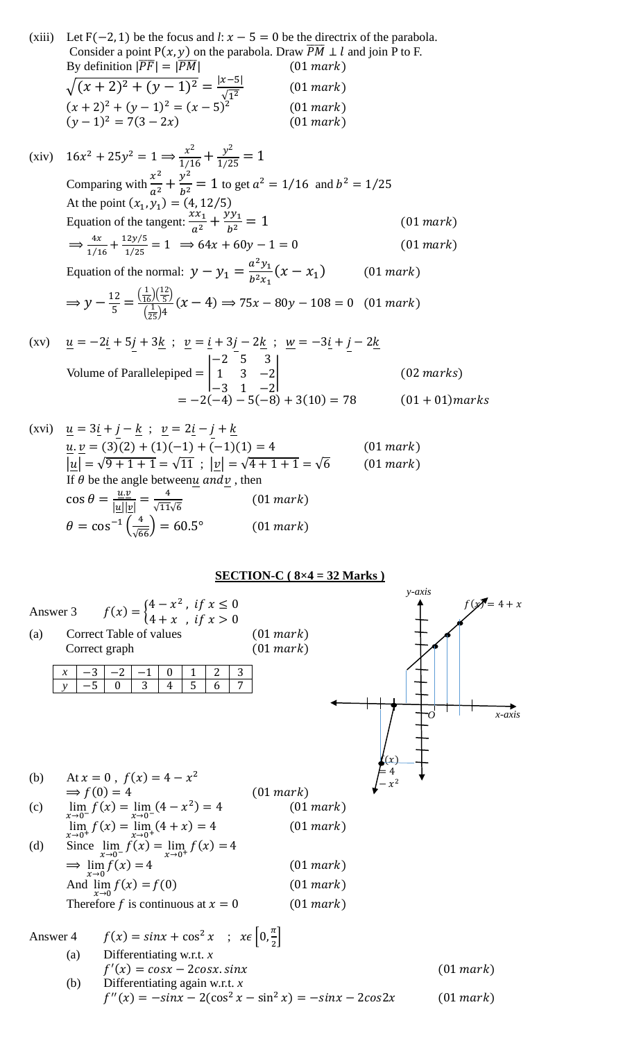(xiii) Let  $F(-2, 1)$  be the focus and *l*:  $x - 5 = 0$  be the directrix of the parabola. Consider a point  $P(x, y)$  on the parabola. Draw  $\overline{PM} \perp l$  and join P to F. By definition  $|\overline{PF}| = |\overline{PM}|$  (01 mark)  $\sqrt{(x+2)^2 + (y-1)^2} = \frac{|x-5|}{\sqrt{3}}$  $\sqrt{1^2}$  $(01 mark)$  $(x + 2)^2 + (y - 1)^2 = (x - 5)^2$  $(01 mark)$  $(y-1)^2 = 7(3-2x)$  (01 mark) (xiv)  $16x^2 + 25y^2 = 1 \Rightarrow \frac{x^2}{1/16} + \frac{y^2}{1/25} = 1$ Comparing with  $\frac{x^2}{a^2} + \frac{y^2}{b^2}$  $\frac{y}{b^2}$  = 1 to get  $a^2$  = 1/16 and  $b^2$  = 1/25 At the point  $(x_1, y_1) = (4, 12/5)$ Equation of the tangent:  $\frac{xx_1}{a^2} + \frac{yy_1}{b^2}$  $\boldsymbol{b}$  $(01 mark)$  $\Rightarrow \frac{4x}{1/4}$  $\frac{4x}{1/16} + \frac{12y/5}{1/25}$  $\frac{1}{1/25} = 1 \implies 64x + 60y - 1 = 0$  (01 mark) Equation of the normal:  $y - y_1 = \frac{a^2 y_1}{b^2 x_1}$  $\frac{d^2 y_1}{b^2 x_1}(x - x_1)$  $(01 mark)$  $\Rightarrow$   $y - \frac{12}{5}$  $\frac{12}{5} = \frac{\left(\frac{1}{16}\right)\left(\frac{12}{5}\right)}{\left(\frac{1}{26}\right)4}$  $\frac{12}{5}$  $\left(\frac{1}{25}\right)4$  $(x - 4) \Rightarrow 75x - 80y - 108 = 0$  (01 mark) (xv)  $\underline{u} = -2\underline{i} + 5j + 3\underline{k}$ ;  $\underline{v} = \underline{i} + 3j - 2\underline{k}$ ;  $\underline{w} = -3\underline{i} + j - 2\underline{k}$ Volume of Parallelepiped = | −2 5 3 1 3 −2 −3 1 −2  $\vert$  (02 marks)  $= -2(-4) - 5(-8) + 3(10) = 78$  (01 + 01) marks (xvi)  $\underline{u} = 3\underline{i} + j - \underline{k}$ ;  $\underline{v} = 2\underline{i} - j + \underline{k}$  $\underline{u}.\underline{v} = (3)(2) + (1)(-1) + (-1)(1) = 4$  (01 mark)

$$
\underline{u} \cdot \underline{v} = (3)(2) + (1)(-1) + (-1)(1) = 4 \qquad (01 mark)
$$
\n
$$
|\underline{u}| = \sqrt{9 + 1 + 1} = \sqrt{11} \ ; \ |\underline{v}| = \sqrt{4 + 1 + 1} = \sqrt{6} \qquad (01 mark)
$$
\nIf  $\theta$  be the angle between  $\underline{u}$  and  $\underline{v}$ , then\n
$$
\cos \theta = \frac{\underline{u} \cdot \underline{v}}{|\underline{u}||\underline{v}|} = \frac{4}{\sqrt{11}\sqrt{6}} \qquad (01 mark)
$$
\n
$$
\theta = \cos^{-1}\left(\frac{4}{\sqrt{66}}\right) = 60.5^{\circ} \qquad (01 mark)
$$

**SECTION-C ( 8×4 = 32 Marks )**

|          |                       |                                                                                                |        |        |                                                                  | $y-axis$       |
|----------|-----------------------|------------------------------------------------------------------------------------------------|--------|--------|------------------------------------------------------------------|----------------|
| Answer 3 |                       | $f(x) = \begin{cases} 4 - x^2, & \text{if } x \leq 0 \\ 4 + x, & \text{if } x > 0 \end{cases}$ |        |        |                                                                  | $f(x) = 4 + x$ |
| (a)      |                       | Correct Table of values                                                                        |        |        | (01 mark)                                                        |                |
|          |                       | Correct graph                                                                                  |        |        | (01 mark)                                                        |                |
|          |                       |                                                                                                |        |        |                                                                  |                |
|          | $-3$<br>$\mathcal{X}$ | -2<br>$-1$<br>$\boldsymbol{0}$<br>$\overline{3}$<br>$\theta$                                   | 2<br>1 | 3<br>7 |                                                                  |                |
|          | $-5$<br>$\mathbf{v}$  | 4                                                                                              | 5<br>6 |        |                                                                  |                |
|          |                       |                                                                                                |        |        |                                                                  | $x$ -axis      |
| (b)      |                       | At $x = 0$ , $f(x) = 4 - x^2$                                                                  |        |        |                                                                  |                |
|          |                       | $\Rightarrow$ f(0) = 4                                                                         |        |        | (01 mark)                                                        |                |
| (c)      |                       | $\lim_{x\to 0^-} f(x) = \lim_{x\to 0^-} (4 - x^2) = 4$                                         |        |        | (01 mark)                                                        |                |
|          |                       | $\lim_{x\to 0^+} f(x) = \lim_{x\to 0^+} (4+x) = 4$                                             |        |        | (01 mark)                                                        |                |
| (d)      |                       | Since $\lim_{x \to 0^-} f(x) = \lim_{x \to 0^+} f(x) = 4$                                      |        |        |                                                                  |                |
|          |                       | $\Rightarrow \lim_{x\to 0} f(x) = 4$                                                           |        |        | (01 mark)                                                        |                |
|          |                       | And $\lim_{x \to 0} f(x) = f(0)$                                                               |        |        | (01 mark)                                                        |                |
|          |                       | Therefore f is continuous at $x = 0$                                                           |        |        | (01 mark)                                                        |                |
|          |                       | Answer 4 $f(x) = sinx + cos^2 x$ ; $x \in \left[0, \frac{\pi}{2}\right]$                       |        |        |                                                                  |                |
|          | (a)                   | Differentiating w.r.t. $x$                                                                     |        |        |                                                                  |                |
|          |                       | $f'(x) = cos x - 2cos x . sin x$                                                               |        |        |                                                                  | (01 mark)      |
|          | (b)                   | Differentiating again w.r.t. $x$                                                               |        |        |                                                                  |                |
|          |                       |                                                                                                |        |        | $f''(x) = -\sin x - 2(\cos^2 x - \sin^2 x) = -\sin x - 2\cos 2x$ | (01 mark)      |
|          |                       |                                                                                                |        |        |                                                                  |                |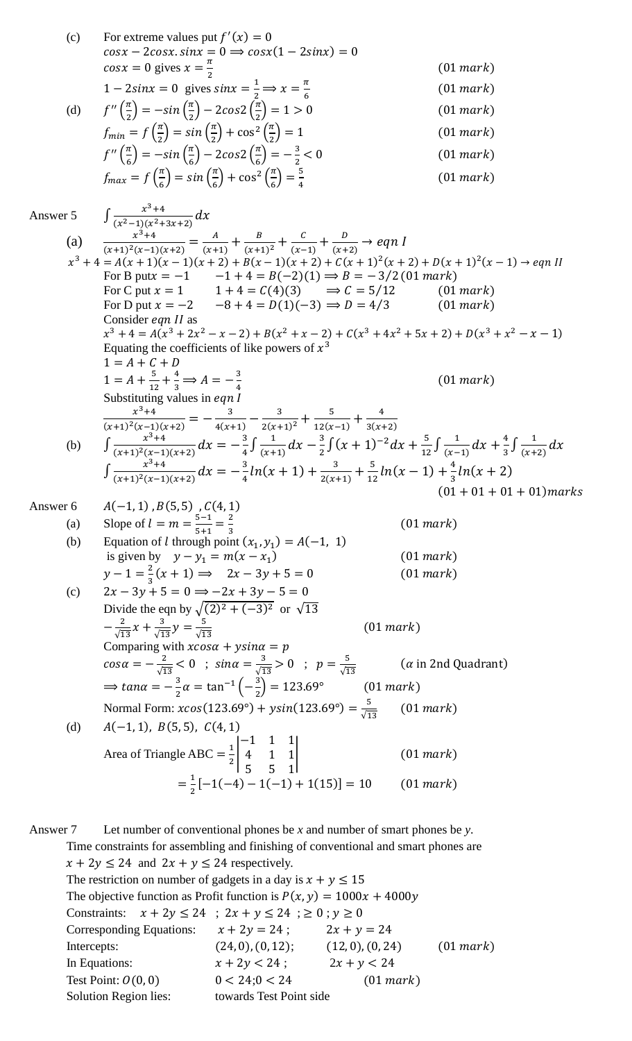|          | (c) | For extreme values put $f'(x) = 0$<br>$cos x - 2cos x . sin x = 0 \Rightarrow cos x (1 - 2sin x) = 0$                                                                                          |                             |
|----------|-----|------------------------------------------------------------------------------------------------------------------------------------------------------------------------------------------------|-----------------------------|
|          |     | $cos x = 0$ gives $x = \frac{\pi}{2}$                                                                                                                                                          | (01 mark)                   |
|          |     | $1-2sinx = 0$ gives $sinx = \frac{1}{2} \implies x = \frac{\pi}{6}$                                                                                                                            | (01 mark)                   |
|          | (d) | $f''\left(\frac{\pi}{2}\right) = -\sin\left(\frac{\pi}{2}\right) - 2\cos 2\left(\frac{\pi}{2}\right) = 1 > 0$                                                                                  | (01 mark)                   |
|          |     | $f_{min} = f\left(\frac{\pi}{2}\right) = \sin\left(\frac{\pi}{2}\right) + \cos^2\left(\frac{\pi}{2}\right) = 1$                                                                                | (01 mark)                   |
|          |     | $f''\left(\frac{\pi}{6}\right) = -\sin\left(\frac{\pi}{6}\right) - 2\cos 2\left(\frac{\pi}{6}\right) = -\frac{3}{2} < 0$                                                                       | (01 mark)                   |
|          |     | $f_{max} = f\left(\frac{\pi}{\epsilon}\right) = \sin\left(\frac{\pi}{\epsilon}\right) + \cos^2\left(\frac{\pi}{\epsilon}\right) = \frac{5}{4}$                                                 | (01 mark)                   |
| Answer 5 |     | $\int \frac{x^3+4}{(x^2-1)(x^2+3x+2)} dx$                                                                                                                                                      |                             |
|          |     | (a) $\frac{x^3+4}{(x+1)^2(x-1)(x+2)} = \frac{A}{(x+1)} + \frac{B}{(x+1)^2} + \frac{C}{(x-1)} + \frac{D}{(x+2)} \rightarrow eqn I$                                                              |                             |
|          |     | $x^3 + 4 = A(x + 1)(x - 1)(x + 2) + B(x - 1)(x + 2) + C(x + 1)^2(x + 2) + D(x + 1)^2(x - 1) \rightarrow eqn II$                                                                                |                             |
|          |     | For B put $x = -1$ $-1 + 4 = B(-2)(1) \Rightarrow B = -3/2 (01 mark)$                                                                                                                          |                             |
|          |     | For C put $x = 1$ $1 + 4 = C(4)(3)$ $\Rightarrow C = 5/12$                                                                                                                                     | (01 mark)                   |
|          |     | For D put $x = -2$ $-8 + 4 = D(1)(-3) \Rightarrow D = 4/3$                                                                                                                                     | (01 mark)                   |
|          |     | Consider <i>eqn II</i> as                                                                                                                                                                      |                             |
|          |     | $x^3 + 4 = A(x^3 + 2x^2 - x - 2) + B(x^2 + x - 2) + C(x^3 + 4x^2 + 5x + 2) + D(x^3 + x^2 - x - 1)$                                                                                             |                             |
|          |     | Equating the coefficients of like powers of $x^3$<br>$1 = A + C + D$                                                                                                                           |                             |
|          |     | $1 = A + \frac{5}{12} + \frac{4}{2} \implies A = -\frac{3}{4}$                                                                                                                                 |                             |
|          |     |                                                                                                                                                                                                | (01 mark)                   |
|          |     | Substituting values in eqn l                                                                                                                                                                   |                             |
|          |     | $\frac{x^3+4}{(x+1)^2(x-1)(x+2)} = -\frac{3}{4(x+1)} - \frac{3}{2(x+1)^2} + \frac{5}{12(x-1)} + \frac{4}{3(x+2)}$                                                                              |                             |
|          | (b) | $\int \frac{x^3+4}{(x+1)^2(x-1)(x+2)} dx = -\frac{3}{4} \int \frac{1}{(x+1)} dx - \frac{3}{2} \int (x+1)^{-2} dx + \frac{5}{12} \int \frac{1}{(x-1)} dx + \frac{4}{3} \int \frac{1}{(x+2)} dx$ |                             |
|          |     | $\int \frac{x^3+4}{(x+1)^2(x-1)(x+2)} dx = -\frac{3}{4}ln(x+1) + \frac{3}{2(x+1)} + \frac{5}{12}ln(x-1) + \frac{4}{3}ln(x+2)$                                                                  |                             |
|          |     |                                                                                                                                                                                                | $(01 + 01 + 01 + 01)$ marks |
| Answer 6 |     | $A(-1,1)$ , $B(5,5)$ , $C(4,1)$                                                                                                                                                                |                             |
|          |     | (a) Slope of $l = m = \frac{5-1}{5+1} = \frac{2}{3}$                                                                                                                                           | (01 mark)                   |
|          | (b) | Equation of <i>l</i> through point $(x_1, y_1) = A(-1, 1)$                                                                                                                                     |                             |
|          |     | is given by $y - y_1 = m(x - x_1)$                                                                                                                                                             | (01 mark)                   |
|          |     | $y-1=\frac{2}{3}(x+1) \implies 2x-3y+5=0$                                                                                                                                                      | (01 mark)                   |
|          | (c) | $2x - 3y + 5 = 0 \implies -2x + 3y - 5 = 0$<br>Divide the eqn by $\sqrt{(2)^2 + (-3)^2}$ or $\sqrt{13}$                                                                                        |                             |
|          |     |                                                                                                                                                                                                |                             |
|          |     | $-\frac{2}{\sqrt{13}}x+\frac{3}{\sqrt{13}}y=\frac{5}{\sqrt{13}}$<br>(01 mark)                                                                                                                  |                             |
|          |     | Comparing with $xcos\alpha + ysin\alpha = p$                                                                                                                                                   |                             |
|          |     | $cos\alpha = -\frac{2}{\sqrt{13}} < 0$ ; $sin\alpha = \frac{3}{\sqrt{13}} > 0$ ; $p = \frac{5}{\sqrt{13}}$                                                                                     | $(\alpha$ in 2nd Quadrant)  |
|          |     | $\Rightarrow$ tan $\alpha = -\frac{3}{2}\alpha = \tan^{-1}\left(-\frac{3}{2}\right) = 123.69^{\circ}$<br>(01 mark)                                                                             |                             |
|          |     | Normal Form: $xcos(123.69^{\circ}) + ysin(123.69^{\circ}) = \frac{5}{\sqrt{13}}$ (01 mark)                                                                                                     |                             |
|          | (d) | $A(-1,1), B(5,5), C(4,1)$                                                                                                                                                                      |                             |
|          |     | Area of Triangle ABC = $\frac{1}{2} \begin{bmatrix} -1 & 1 & 1 \\ 4 & 1 & 1 \\ 5 & 5 & 1 \end{bmatrix}$                                                                                        | (01 mark)                   |
|          |     | $=\frac{1}{2}[-1(-4)-1(-1)+1(15)]=10$                                                                                                                                                          | (01 mark)                   |
|          |     |                                                                                                                                                                                                |                             |
|          |     |                                                                                                                                                                                                |                             |

Answer 7 Let number of conventional phones be *x* and number of smart phones be *y*. Time constraints for assembling and finishing of conventional and smart phones are  $x + 2y \le 24$  and  $2x + y \le 24$  respectively. The restriction on number of gadgets in a day is  $x + y \le 15$ The objective function as Profit function is  $P(x, y) = 1000x + 4000y$ Constraints:  $x + 2y \le 24$ ;  $2x + y \le 24$ ;  $\ge 0$ ;  $y \ge 0$ Corresponding Equations:  $x + 2y = 24$ ;  $2x + y = 24$ Intercepts:  $(24, 0), (0, 12);$   $(12, 0), (0, 24)$   $(01 mark)$ In Equations:  $x + 2y < 24$ ;  $2x + y < 24$ Test Point:  $0(0, 0)$   $0 < 24; 0 < 24$   $(01 mark)$ Solution Region lies: towards Test Point side